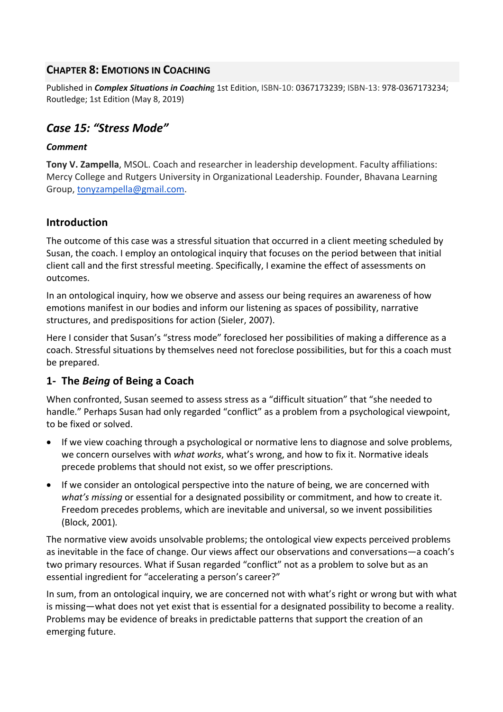## **CHAPTER 8: EMOTIONS IN COACHING**

Published in *Complex Situations in Coachin*g 1st Edition, ISBN-10: 0367173239; ISBN-13: 978-0367173234; Routledge; 1st Edition (May 8, 2019)

# *Case 15: "Stress Mode"*

### *Comment*

**Tony V. Zampella**, MSOL. Coach and researcher in leadership development. Faculty affiliations: Mercy College and Rutgers University in Organizational Leadership. Founder, Bhavana Learning Group, tonyzampella@gmail.com.

## **Introduction**

The outcome of this case was a stressful situation that occurred in a client meeting scheduled by Susan, the coach. I employ an ontological inquiry that focuses on the period between that initial client call and the first stressful meeting. Specifically, I examine the effect of assessments on outcomes.

In an ontological inquiry, how we observe and assess our being requires an awareness of how emotions manifest in our bodies and inform our listening as spaces of possibility, narrative structures, and predispositions for action (Sieler, 2007).

Here I consider that Susan's "stress mode" foreclosed her possibilities of making a difference as a coach. Stressful situations by themselves need not foreclose possibilities, but for this a coach must be prepared.

# **1- The** *Being* **of Being a Coach**

When confronted, Susan seemed to assess stress as a "difficult situation" that "she needed to handle." Perhaps Susan had only regarded "conflict" as a problem from a psychological viewpoint, to be fixed or solved.

- If we view coaching through a psychological or normative lens to diagnose and solve problems, we concern ourselves with *what works*, what's wrong, and how to fix it. Normative ideals precede problems that should not exist, so we offer prescriptions.
- If we consider an ontological perspective into the nature of being, we are concerned with *what's missing* or essential for a designated possibility or commitment, and how to create it. Freedom precedes problems, which are inevitable and universal, so we invent possibilities (Block, 2001)*.*

The normative view avoids unsolvable problems; the ontological view expects perceived problems as inevitable in the face of change. Our views affect our observations and conversations—a coach's two primary resources. What if Susan regarded "conflict" not as a problem to solve but as an essential ingredient for "accelerating a person's career?"

In sum, from an ontological inquiry, we are concerned not with what's right or wrong but with what is missing—what does not yet exist that is essential for a designated possibility to become a reality. Problems may be evidence of breaks in predictable patterns that support the creation of an emerging future.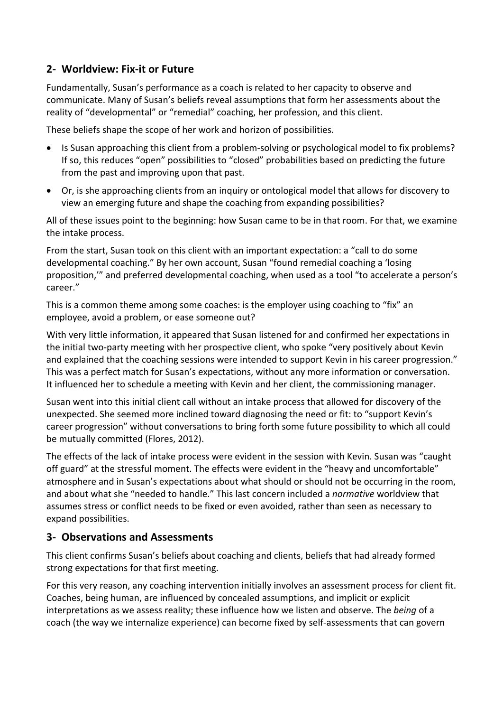# **2- Worldview: Fix-it or Future**

Fundamentally, Susan's performance as a coach is related to her capacity to observe and communicate. Many of Susan's beliefs reveal assumptions that form her assessments about the reality of "developmental" or "remedial" coaching, her profession, and this client.

These beliefs shape the scope of her work and horizon of possibilities.

- Is Susan approaching this client from a problem-solving or psychological model to fix problems? If so, this reduces "open" possibilities to "closed" probabilities based on predicting the future from the past and improving upon that past.
- Or, is she approaching clients from an inquiry or ontological model that allows for discovery to view an emerging future and shape the coaching from expanding possibilities?

All of these issues point to the beginning: how Susan came to be in that room. For that, we examine the intake process.

From the start, Susan took on this client with an important expectation: a "call to do some developmental coaching." By her own account, Susan "found remedial coaching a 'losing proposition,'" and preferred developmental coaching, when used as a tool "to accelerate a person's career."

This is a common theme among some coaches: is the employer using coaching to "fix" an employee, avoid a problem, or ease someone out?

With very little information, it appeared that Susan listened for and confirmed her expectations in the initial two-party meeting with her prospective client, who spoke "very positively about Kevin and explained that the coaching sessions were intended to support Kevin in his career progression." This was a perfect match for Susan's expectations, without any more information or conversation. It influenced her to schedule a meeting with Kevin and her client, the commissioning manager.

Susan went into this initial client call without an intake process that allowed for discovery of the unexpected. She seemed more inclined toward diagnosing the need or fit: to "support Kevin's career progression" without conversations to bring forth some future possibility to which all could be mutually committed (Flores, 2012).

The effects of the lack of intake process were evident in the session with Kevin. Susan was "caught off guard" at the stressful moment. The effects were evident in the "heavy and uncomfortable" atmosphere and in Susan's expectations about what should or should not be occurring in the room, and about what she "needed to handle." This last concern included a *normative* worldview that assumes stress or conflict needs to be fixed or even avoided, rather than seen as necessary to expand possibilities.

## **3- Observations and Assessments**

This client confirms Susan's beliefs about coaching and clients, beliefs that had already formed strong expectations for that first meeting.

For this very reason, any coaching intervention initially involves an assessment process for client fit. Coaches, being human, are influenced by concealed assumptions, and implicit or explicit interpretations as we assess reality; these influence how we listen and observe. The *being* of a coach (the way we internalize experience) can become fixed by self-assessments that can govern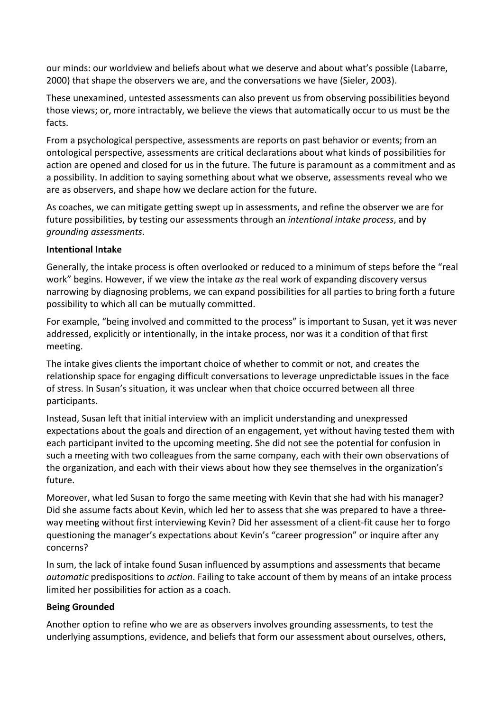our minds: our worldview and beliefs about what we deserve and about what's possible (Labarre, 2000) that shape the observers we are, and the conversations we have (Sieler, 2003).

These unexamined, untested assessments can also prevent us from observing possibilities beyond those views; or, more intractably, we believe the views that automatically occur to us must be the facts.

From a psychological perspective, assessments are reports on past behavior or events; from an ontological perspective, assessments are critical declarations about what kinds of possibilities for action are opened and closed for us in the future. The future is paramount as a commitment and as a possibility. In addition to saying something about what we observe, assessments reveal who we are as observers, and shape how we declare action for the future.

As coaches, we can mitigate getting swept up in assessments, and refine the observer we are for future possibilities, by testing our assessments through an *intentional intake process*, and by *grounding assessments*.

#### **Intentional Intake**

Generally, the intake process is often overlooked or reduced to a minimum of steps before the "real work" begins. However, if we view the intake *as* the real work of expanding discovery versus narrowing by diagnosing problems, we can expand possibilities for all parties to bring forth a future possibility to which all can be mutually committed.

For example, "being involved and committed to the process" is important to Susan, yet it was never addressed, explicitly or intentionally, in the intake process, nor was it a condition of that first meeting.

The intake gives clients the important choice of whether to commit or not, and creates the relationship space for engaging difficult conversations to leverage unpredictable issues in the face of stress. In Susan's situation, it was unclear when that choice occurred between all three participants.

Instead, Susan left that initial interview with an implicit understanding and unexpressed expectations about the goals and direction of an engagement, yet without having tested them with each participant invited to the upcoming meeting. She did not see the potential for confusion in such a meeting with two colleagues from the same company, each with their own observations of the organization, and each with their views about how they see themselves in the organization's future.

Moreover, what led Susan to forgo the same meeting with Kevin that she had with his manager? Did she assume facts about Kevin, which led her to assess that she was prepared to have a threeway meeting without first interviewing Kevin? Did her assessment of a client-fit cause her to forgo questioning the manager's expectations about Kevin's "career progression" or inquire after any concerns?

In sum, the lack of intake found Susan influenced by assumptions and assessments that became *automatic* predispositions to *action*. Failing to take account of them by means of an intake process limited her possibilities for action as a coach.

#### **Being Grounded**

Another option to refine who we are as observers involves grounding assessments, to test the underlying assumptions, evidence, and beliefs that form our assessment about ourselves, others,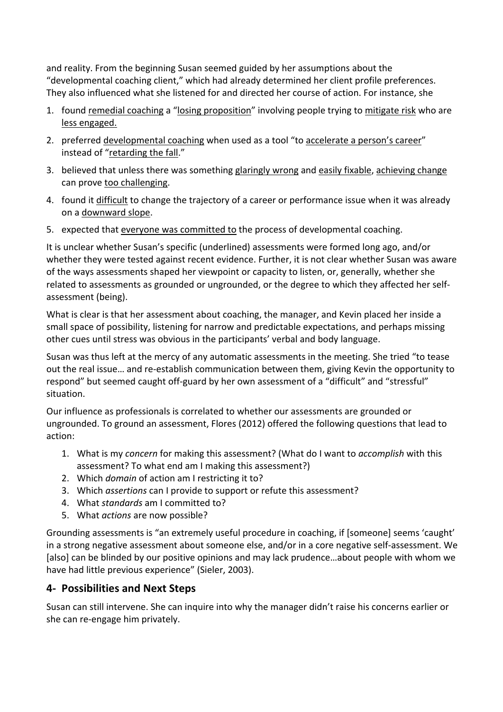and reality. From the beginning Susan seemed guided by her assumptions about the "developmental coaching client," which had already determined her client profile preferences. They also influenced what she listened for and directed her course of action. For instance, she

- 1. found remedial coaching a "losing proposition" involving people trying to mitigate risk who are less engaged.
- 2. preferred developmental coaching when used as a tool "to accelerate a person's career" instead of "retarding the fall."
- 3. believed that unless there was something glaringly wrong and easily fixable, achieving change can prove too challenging.
- 4. found it difficult to change the trajectory of a career or performance issue when it was already on a downward slope.
- 5. expected that everyone was committed to the process of developmental coaching.

It is unclear whether Susan's specific (underlined) assessments were formed long ago, and/or whether they were tested against recent evidence. Further, it is not clear whether Susan was aware of the ways assessments shaped her viewpoint or capacity to listen, or, generally, whether she related to assessments as grounded or ungrounded, or the degree to which they affected her selfassessment (being).

What is clear is that her assessment about coaching, the manager, and Kevin placed her inside a small space of possibility, listening for narrow and predictable expectations, and perhaps missing other cues until stress was obvious in the participants' verbal and body language.

Susan was thus left at the mercy of any automatic assessments in the meeting. She tried "to tease out the real issue… and re-establish communication between them, giving Kevin the opportunity to respond" but seemed caught off-guard by her own assessment of a "difficult" and "stressful" situation.

Our influence as professionals is correlated to whether our assessments are grounded or ungrounded. To ground an assessment, Flores (2012) offered the following questions that lead to action:

- 1. What is my *concern* for making this assessment? (What do I want to *accomplish* with this assessment? To what end am I making this assessment?)
- 2. Which *domain* of action am I restricting it to?
- 3. Which *assertions* can I provide to support or refute this assessment?
- 4. What *standards* am I committed to?
- 5. What *actions* are now possible?

Grounding assessments is "an extremely useful procedure in coaching, if [someone] seems 'caught' in a strong negative assessment about someone else, and/or in a core negative self-assessment. We [also] can be blinded by our positive opinions and may lack prudence…about people with whom we have had little previous experience" (Sieler, 2003).

# **4- Possibilities and Next Steps**

Susan can still intervene. She can inquire into why the manager didn't raise his concerns earlier or she can re-engage him privately.